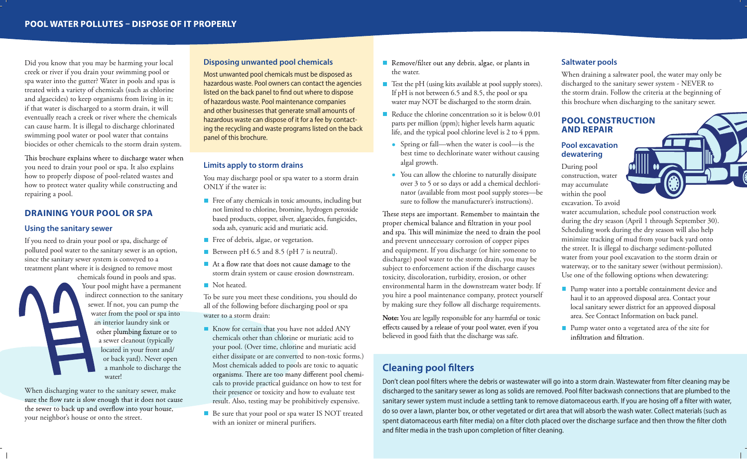Did you know that you may be harming your local creek or river if you drain your swimming pool or spa water into the gutter? Water in pools and spas is treated with a variety of chemicals (such as chlorine and algaecides) to keep organisms from living in it; if that water is discharged to a storm drain, it will eventually reach a creek or river where the chemicals can cause harm. It is illegal to discharge chlorinated swimming pool water or pool water that contains biocides or other chemicals to the storm drain system.

This brochure explains where to discharge water when you need to drain your pool or spa. It also explains how to properly dispose of pool-related wastes and how to protect water quality while constructing and repairing a pool.

## **DRAINING YOUR POOL OR SPA**

#### **Using the sanitary sewer**

If you need to drain your pool or spa, discharge of polluted pool water to the sanitary sewer is an option, since the sanitary sewer system is conveyed to a treatment plant where it is designed to remove most chemicals found in pools and spas.

Your pool might have a permanent indirect connection to the sanitary sewer. If not, you can pump the water from the pool or spa into an interior laundry sink or other plumbing fixture or to a sewer cleanout (typically located in your front and/ or back yard). Never open a manhole to discharge the water!

When discharging water to the sanitary sewer, make<br>sure the flow rate is slow enough that it does not cause the sewer to back up and overflow into your house, your neighbor's house or onto the street.

## **Disposing unwanted pool chemicals**

Most unwanted pool chemicals must be disposed as hazardous waste. Pool owners can contact the agencies listed on the back panel to find out where to dispose of hazardous waste. Pool maintenance companies and other businesses that generate small amounts of hazardous waste can dispose of it for a fee by contacting the recycling and waste programs listed on the back panel of this brochure.

#### **Limits apply to storm drains**

You may discharge pool or spa water to a storm drain ONLY if the water is:

- Free of any chemicals in toxic amounts, including but not limited to chlorine, bromine, hydrogen peroxide based products, copper, silver, algaecides, fungicides, soda ash, cyanuric acid and muriatic acid.
- Free of debris, algae, or vegetation.
- Between pH 6.5 and 8.5 (pH 7 is neutral).
- At a flow rate that does not cause damage to the storm drain system or cause erosion downstream.
- Not heated.

To be sure you meet these conditions, you should do all of the following before discharging pool or spa water to a storm drain:

- Know for certain that you have not added ANY chemicals other than chlorine or muriatic acid to your pool. (Over time, chlorine and muriatic acid either dissipate or are converted to non-toxic forms.) Most chemicals added to pools are toxic to aquatic organisms. There are too many different pool chemicals to provide practical guidance on how to test for their presence or toxicity and how to evaluate test result. Also, testing may be prohibitively expensive.
- Be sure that your pool or spa water IS NOT treated with an ionizer or mineral purifiers.
- Remove/filter out any debris, algae, or plants in the water.
- Test the pH (using kits available at pool supply stores). If pH is not between 6.5 and 8.5, the pool or spa water may NOT be discharged to the storm drain.
- Reduce the chlorine concentration so it is below 0.01 parts per million (ppm); higher levels harm aquatic life, and the typical pool chlorine level is 2 to 4 ppm.
	- Spring or fall—when the water is cool—is the best time to dechlorinate water without causing algal growth.
	- You can allow the chlorine to naturally dissipate over 3 to 5 or so days or add a chemical dechlorinator (available from most pool supply stores—be sure to follow the manufacturer's instructions).

These steps are important. Remember to maintain the proper chemical balance and filtration in your pool and spa. This will minimize the need to drain the pool and prevent unnecessary corrosion of copper pipes and equipment. If you discharge (or hire someone to discharge) pool water to the storm drain, you may be subject to enforcement action if the discharge causes toxicity, discoloration, turbidity, erosion, or other environmental harm in the downstream water body. If you hire a pool maintenance company, protect yourself by making sure they follow all discharge requirements.

**Note:** You are legally responsible for any harmful or toxic effects caused by a release of your pool water, even if you believed in good faith that the discharge was safe.

## **Saltwater pools**

When draining a saltwater pool, the water may only be discharged to the sanitary sewer system - NEVER to the storm drain. Follow the criteria at the beginning of this brochure when discharging to the sanitary sewer.

## **POOL CONSTRUCTION AND REPAIR**

## **Pool excavation dewatering**

During pool construction, water may accumulate within the pool excavation. To avoid

> water accumulation, schedule pool construction work during the dry season (April 1 through September 30). Scheduling work during the dry season will also help minimize tracking of mud from your back yard onto the street. It is illegal to discharge sediment-polluted water from your pool excavation to the storm drain or waterway, or to the sanitary sewer (without permission). Use one of the following options when dewatering:

- **Pump water into a portable containment device and** haul it to an approved disposal area. Contact your local sanitary sewer district for an approved disposal area. See Contact Information on back panel.
- **Pump water onto a vegetated area of the site for** infiltration and filtration.

# **Cleaning pool filters**

Don't clean pool filters where the debris or wastewater will go into a storm drain. Wastewater from filter cleaning may be discharged to the sanitary sewer as long as solids are removed. Pool filter backwash connections that are plumbed to the sanitary sewer system must include a settling tank to remove diatomaceous earth. If you are hosing off a filter with water, do so over a lawn, planter box, or other vegetated or dirt area that will absorb the wash water. Collect materials (such as spent diatomaceous earth filter media) on a filter cloth placed over the discharge surface and then throw the filter cloth and filter media in the trash upon completion of filter cleaning.